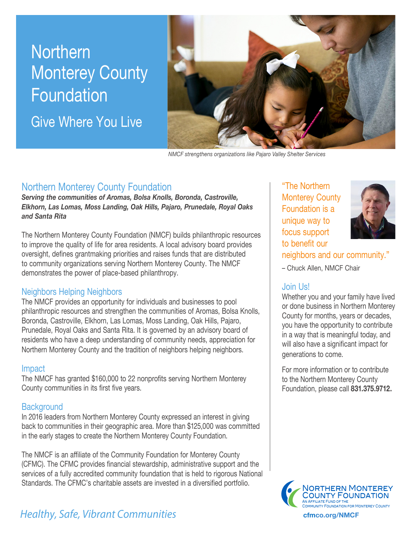# **Northern** Monterey County Foundation

Give Where You Live



*NMCF strengthens organizations like Pajaro Valley Shelter Services*

## Northern Monterey County Foundation

*Serving the communities of Aromas, Bolsa Knolls, Boronda, Castroville, Elkhorn, Las Lomas, Moss Landing, Oak Hills, Pajaro, Prunedale, Royal Oaks and Santa Rita*

The Northern Monterey County Foundation (NMCF) builds philanthropic resources to improve the quality of life for area residents. A local advisory board provides oversight, defines grantmaking priorities and raises funds that are distributed to community organizations serving Northern Monterey County. The NMCF demonstrates the power of place-based philanthropy.

#### Neighbors Helping Neighbors

The NMCF provides an opportunity for individuals and businesses to pool philanthropic resources and strengthen the communities of Aromas, Bolsa Knolls, Boronda, Castroville, Elkhorn, Las Lomas, Moss Landing, Oak Hills, Pajaro, Prunedale, Royal Oaks and Santa Rita. It is governed by an advisory board of residents who have a deep understanding of community needs, appreciation for Northern Monterey County and the tradition of neighbors helping neighbors.

#### Impact

The NMCF has granted \$160,000 to 22 nonprofits serving Northern Monterey County communities in its first five years.

### **Background**

In 2016 leaders from Northern Monterey County expressed an interest in giving back to communities in their geographic area. More than \$125,000 was committed in the early stages to create the Northern Monterey County Foundation.

The NMCF is an affiliate of the Community Foundation for Monterey County (CFMC). The CFMC provides financial stewardship, administrative support and the services of a fully accredited community foundation that is held to rigorous National Standards. The CFMC's charitable assets are invested in a diversified portfolio.

# *Healthy, Safe, Vibrant Communities* **communities cfmco.org/NMCF**

"The Northern Monterey County Foundation is a unique way to focus support to benefit our



neighbors and our community."

– Chuck Allen, NMCF Chair

## Join Us!

Whether you and your family have lived or done business in Northern Monterey County for months, years or decades, you have the opportunity to contribute in a way that is meaningful today, and will also have a significant impact for generations to come.

For more information or to contribute to the Northern Monterey County Foundation, please call **831.375.9712.**